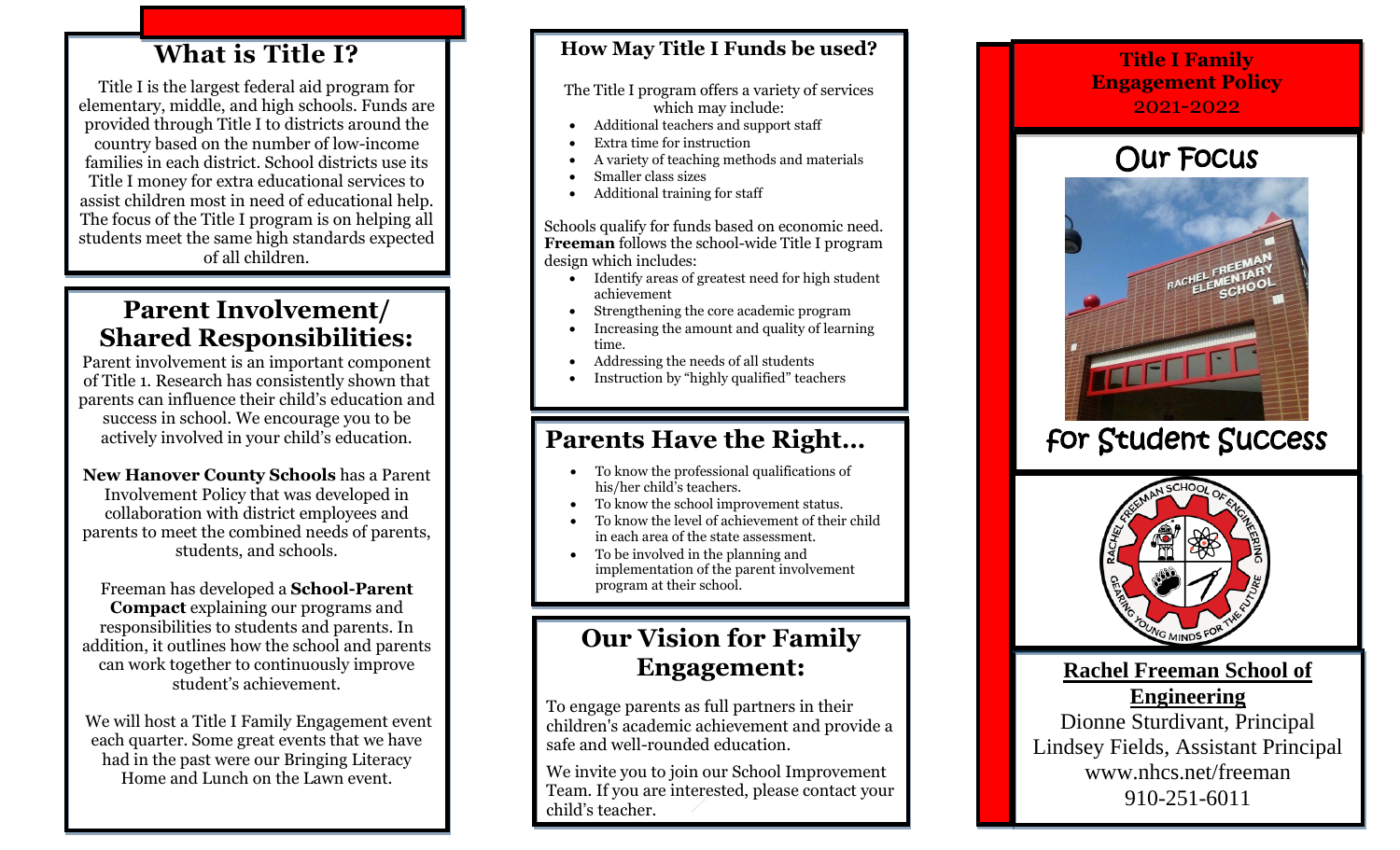# **What is Title I?**

Title I is the largest federal aid program for elementary, middle, and high schools. Funds are provided through Title I to districts around the country based on the number of low-income families in each district. School districts use its Title I money for extra educational services to assist children most in need of educational help. The focus of the Title I program is on helping all students meet the same high standards expected of all children.

# **Parent Involvement/ Shared Responsibilities:**

Parent involvement is an important component of Title 1. Research has consistently shown that parents can influence their child's education and success in school. We encourage you to be actively involved in your child's education.

**New Hanover County Schools** has a Parent Involvement Policy that was developed in collaboration with district employees and parents to meet the combined needs of parents, students, and schools.

Freeman has developed a **School-Parent Compact** explaining our programs and responsibilities to students and parents. In addition, it outlines how the school and parents can work together to continuously improve student's achievement.

We will host a Title I Family Engagement event each quarter. Some great events that we have had in the past were our Bringing Literacy Home and Lunch on the Lawn event.

### **How May Title I Funds be used?**

The Title I program offers a variety of services which may include:

- Additional teachers and support staff
- Extra time for instruction
- A variety of teaching methods and materials
- Smaller class sizes
- Additional training for staff

Schools qualify for funds based on economic need. **Freeman** follows the school-wide Title I program design which includes:

- Identify areas of greatest need for high student achievement
- Strengthening the core academic program
- Increasing the amount and quality of learning time.
- Addressing the needs of all students
- Instruction by "highly qualified" teachers

# **Parents Have the Right…**

- $\bullet$  To know the professional qualifications of his/her child's teachers.
- To know the school improvement status.
- To know the level of achievement of their child in each area of the state assessment.
- To be involved in the planning and implementation of the parent involvement program at their school.

# **Our Vision for Family Engagement:**

To engage parents as full partners in their children's academic achievement and provide a safe and well-rounded education.

We invite you to join our School Improvement Team. If you are interested, please contact your child's teacher.

### **Title I Family Engagement Policy** 2021-2022

# Our Focus



# for Student Success



**Rachel Freeman School of Engineering** Dionne Sturdivant, Principal Lindsey Fields, Assistant Principal www.nhcs.net/freeman 910-251-6011